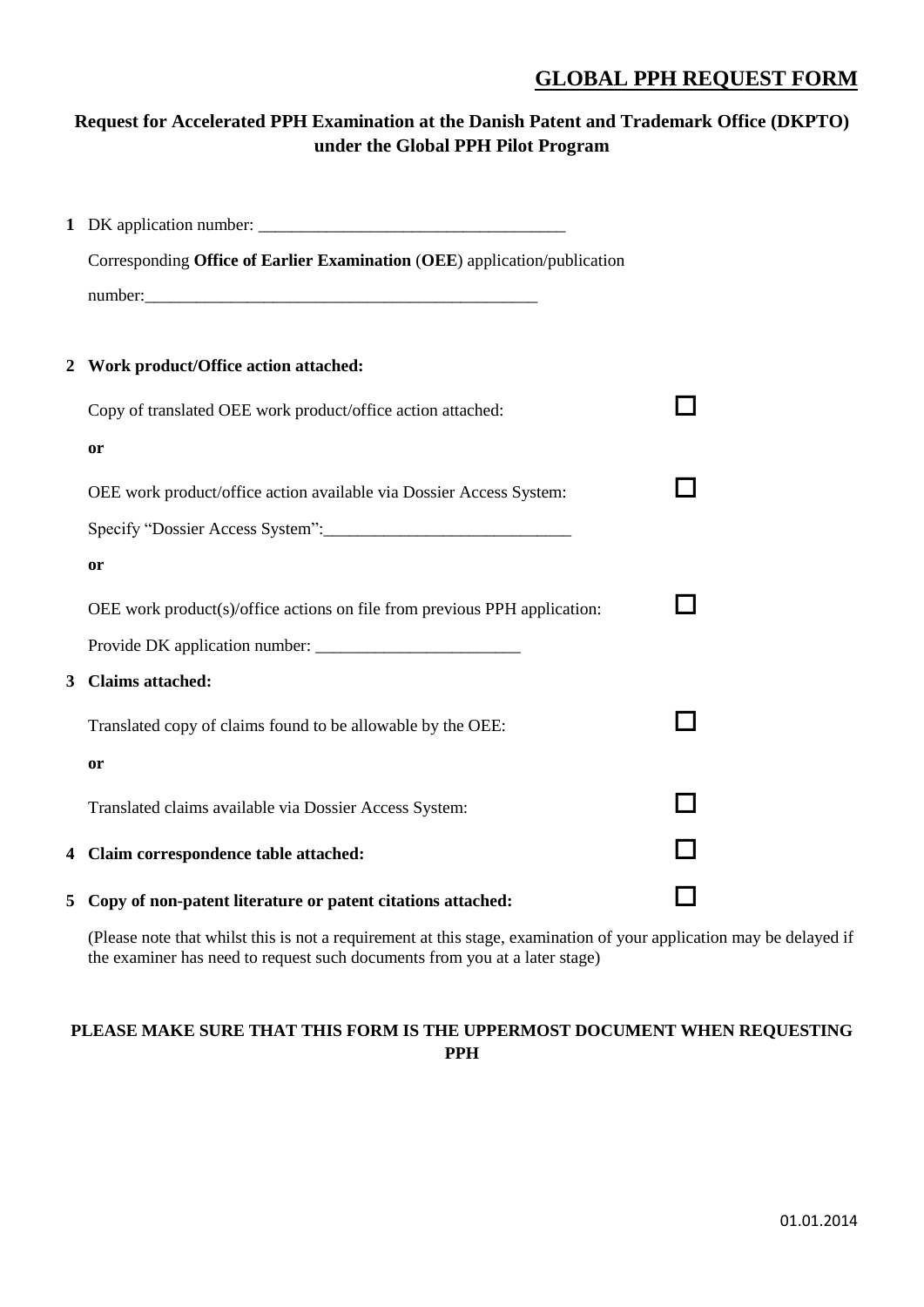# **GLOBAL PPH REQUEST FORM**

# **Request for Accelerated PPH Examination at the Danish Patent and Trademark Office (DKPTO) under the Global PPH Pilot Program**

|                  | Corresponding Office of Earlier Examination (OEE) application/publication |   |
|------------------|---------------------------------------------------------------------------|---|
|                  |                                                                           |   |
|                  |                                                                           |   |
| $\boldsymbol{2}$ | Work product/Office action attached:                                      |   |
|                  | Copy of translated OEE work product/office action attached:               |   |
|                  | or                                                                        |   |
|                  | OEE work product/office action available via Dossier Access System:       | H |
|                  |                                                                           |   |
|                  | or                                                                        |   |
|                  |                                                                           |   |
|                  | OEE work product(s)/office actions on file from previous PPH application: |   |
|                  |                                                                           |   |
| 3                | <b>Claims attached:</b>                                                   |   |
|                  | Translated copy of claims found to be allowable by the OEE:               |   |
|                  | <b>or</b>                                                                 |   |
|                  | Translated claims available via Dossier Access System:                    |   |
|                  |                                                                           |   |
|                  | 4 Claim correspondence table attached:                                    |   |
|                  | 5 Copy of non-patent literature or patent citations attached:             |   |

(Please note that whilst this is not a requirement at this stage, examination of your application may be delayed if the examiner has need to request such documents from you at a later stage)

# **PLEASE MAKE SURE THAT THIS FORM IS THE UPPERMOST DOCUMENT WHEN REQUESTING PPH**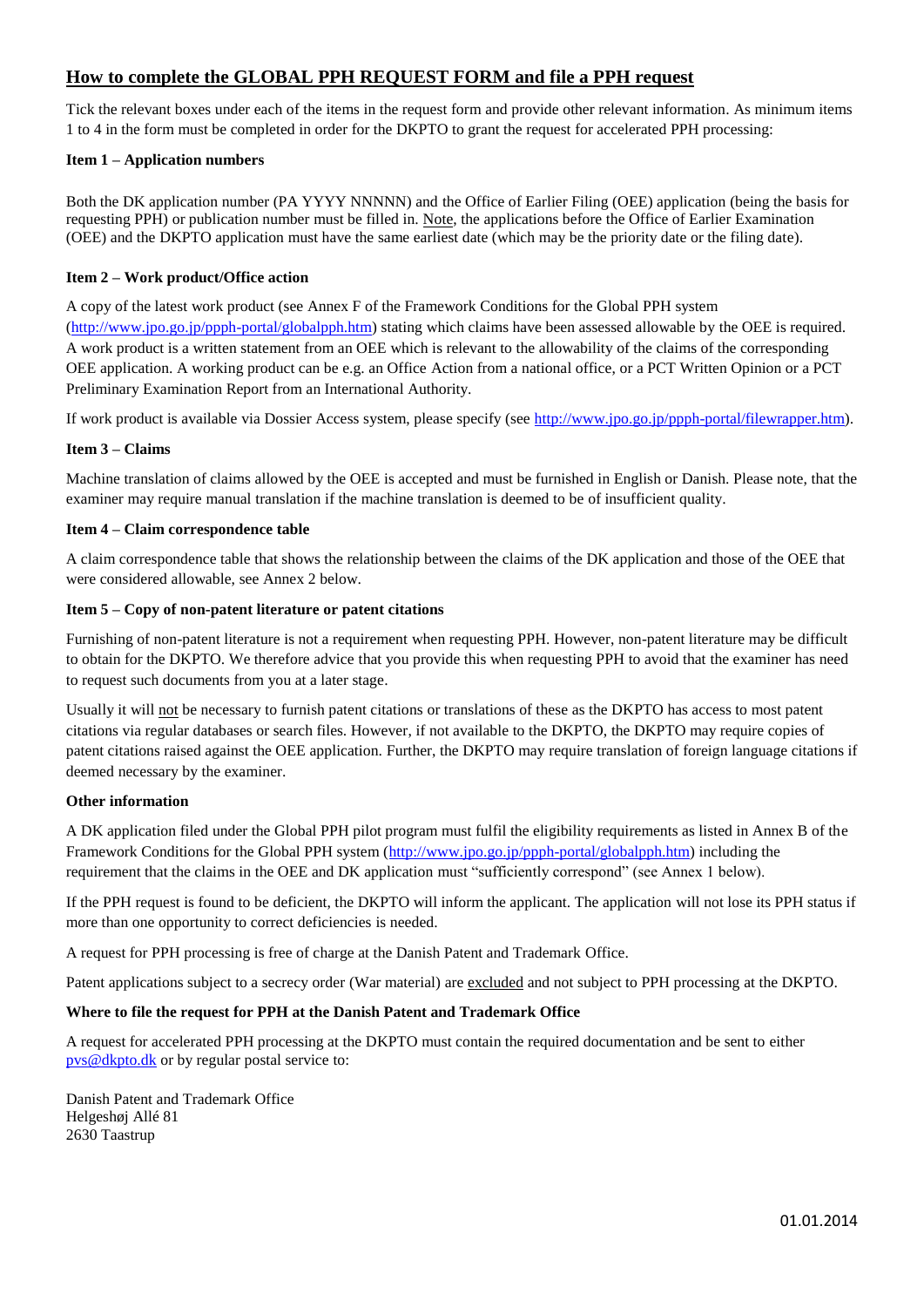# **How to complete the GLOBAL PPH REQUEST FORM and file a PPH request**

Tick the relevant boxes under each of the items in the request form and provide other relevant information. As minimum items 1 to 4 in the form must be completed in order for the DKPTO to grant the request for accelerated PPH processing:

## **Item 1 – Application numbers**

Both the DK application number (PA YYYY NNNNN) and the Office of Earlier Filing (OEE) application (being the basis for requesting PPH) or publication number must be filled in. Note, the applications before the Office of Earlier Examination (OEE) and the DKPTO application must have the same earliest date (which may be the priority date or the filing date).

## **Item 2 – Work product/Office action**

A copy of the latest work product (see Annex F of the Framework Conditions for the Global PPH system [\(http://www.jpo.go.jp/ppph-portal/globalpph.htm\)](http://www.jpo.go.jp/ppph-portal/globalpph.htm) stating which claims have been assessed allowable by the OEE is required. A work product is a written statement from an OEE which is relevant to the allowability of the claims of the corresponding OEE application. A working product can be e.g. an Office Action from a national office, or a PCT Written Opinion or a PCT Preliminary Examination Report from an International Authority.

If work product is available via Dossier Access system, please specify (see [http://www.jpo.go.jp/ppph-portal/filewrapper.htm\)](http://www.jpo.go.jp/ppph-portal/filewrapper.htm).

## **Item 3 – Claims**

Machine translation of claims allowed by the OEE is accepted and must be furnished in English or Danish. Please note, that the examiner may require manual translation if the machine translation is deemed to be of insufficient quality.

#### **Item 4 – Claim correspondence table**

A claim correspondence table that shows the relationship between the claims of the DK application and those of the OEE that were considered allowable, see Annex 2 below.

#### **Item 5 – Copy of non-patent literature or patent citations**

Furnishing of non-patent literature is not a requirement when requesting PPH. However, non-patent literature may be difficult to obtain for the DKPTO. We therefore advice that you provide this when requesting PPH to avoid that the examiner has need to request such documents from you at a later stage.

Usually it will not be necessary to furnish patent citations or translations of these as the DKPTO has access to most patent citations via regular databases or search files. However, if not available to the DKPTO, the DKPTO may require copies of patent citations raised against the OEE application. Further, the DKPTO may require translation of foreign language citations if deemed necessary by the examiner.

#### **Other information**

A DK application filed under the Global PPH pilot program must fulfil the eligibility requirements as listed in Annex B of the Framework Conditions for the Global PPH system [\(http://www.jpo.go.jp/ppph-portal/globalpph.htm\)](http://www.jpo.go.jp/ppph-portal/globalpph.htm) including the requirement that the claims in the OEE and DK application must "sufficiently correspond" (see Annex 1 below).

If the PPH request is found to be deficient, the DKPTO will inform the applicant. The application will not lose its PPH status if more than one opportunity to correct deficiencies is needed.

A request for PPH processing is free of charge at the Danish Patent and Trademark Office.

Patent applications subject to a secrecy order (War material) are excluded and not subject to PPH processing at the DKPTO.

# **Where to file the request for PPH at the Danish Patent and Trademark Office**

A request for accelerated PPH processing at the DKPTO must contain the required documentation and be sent to either [pvs@dkpto.dk](mailto:pvs@dkpto.dk) or by regular postal service to:

Danish Patent and Trademark Office Helgeshøj Allé 81 2630 Taastrup